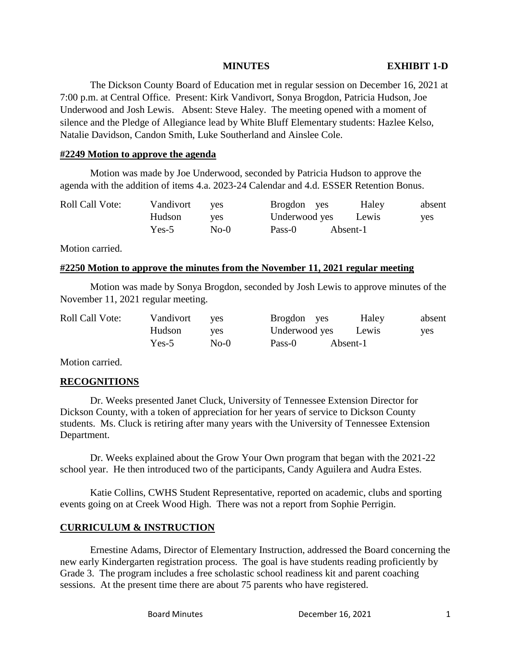The Dickson County Board of Education met in regular session on December 16, 2021 at 7:00 p.m. at Central Office. Present: Kirk Vandivort, Sonya Brogdon, Patricia Hudson, Joe Underwood and Josh Lewis. Absent: Steve Haley. The meeting opened with a moment of silence and the Pledge of Allegiance lead by White Bluff Elementary students: Hazlee Kelso, Natalie Davidson, Candon Smith, Luke Southerland and Ainslee Cole.

## **#2249 Motion to approve the agenda**

Motion was made by Joe Underwood, seconded by Patricia Hudson to approve the agenda with the addition of items 4.a. 2023-24 Calendar and 4.d. ESSER Retention Bonus.

| <b>Roll Call Vote:</b> | Vandivort | ves  | Brogdon yes   | Haley    | absent |
|------------------------|-----------|------|---------------|----------|--------|
|                        | Hudson    | ves  | Underwood yes | Lewis    | yes    |
|                        | $Yes-5$   | No-0 | Pass-0        | Absent-1 |        |

Motion carried.

## **#2250 Motion to approve the minutes from the November 11, 2021 regular meeting**

Motion was made by Sonya Brogdon, seconded by Josh Lewis to approve minutes of the November 11, 2021 regular meeting.

| <b>Roll Call Vote:</b> | Vandivort | <b>ves</b> | Brogdon yes   | Haley    | absent |
|------------------------|-----------|------------|---------------|----------|--------|
|                        | Hudson    | <b>ves</b> | Underwood yes | Lewis    | yes    |
|                        | $Yes-5$   | $No-0$     | Pass-0        | Absent-1 |        |

Motion carried.

## **RECOGNITIONS**

Dr. Weeks presented Janet Cluck, University of Tennessee Extension Director for Dickson County, with a token of appreciation for her years of service to Dickson County students. Ms. Cluck is retiring after many years with the University of Tennessee Extension Department.

Dr. Weeks explained about the Grow Your Own program that began with the 2021-22 school year. He then introduced two of the participants, Candy Aguilera and Audra Estes.

Katie Collins, CWHS Student Representative, reported on academic, clubs and sporting events going on at Creek Wood High. There was not a report from Sophie Perrigin.

## **CURRICULUM & INSTRUCTION**

Ernestine Adams, Director of Elementary Instruction, addressed the Board concerning the new early Kindergarten registration process. The goal is have students reading proficiently by Grade 3. The program includes a free scholastic school readiness kit and parent coaching sessions. At the present time there are about 75 parents who have registered.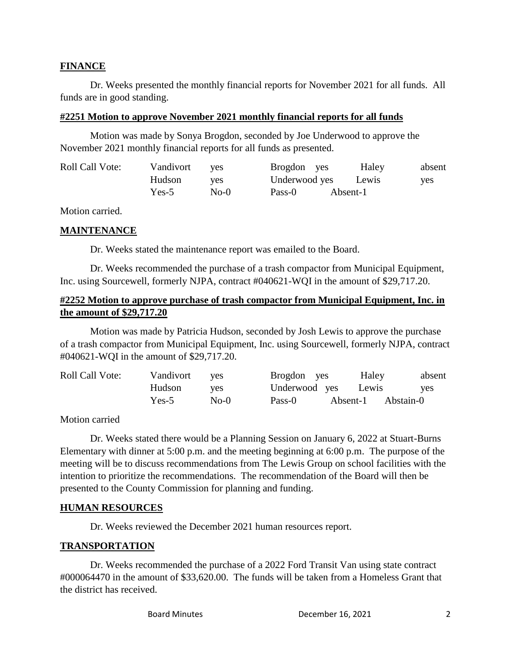## **FINANCE**

Dr. Weeks presented the monthly financial reports for November 2021 for all funds. All funds are in good standing.

## **#2251 Motion to approve November 2021 monthly financial reports for all funds**

Motion was made by Sonya Brogdon, seconded by Joe Underwood to approve the November 2021 monthly financial reports for all funds as presented.

| <b>Roll Call Vote:</b> | Vandivort | ves  | Brogdon yes   | Haley    | absent |
|------------------------|-----------|------|---------------|----------|--------|
|                        | Hudson    | ves  | Underwood yes | Lewis    | yes    |
|                        | $Yes-5$   | No-0 | Pass-0        | Absent-1 |        |

Motion carried.

## **MAINTENANCE**

Dr. Weeks stated the maintenance report was emailed to the Board.

Dr. Weeks recommended the purchase of a trash compactor from Municipal Equipment, Inc. using Sourcewell, formerly NJPA, contract #040621-WQI in the amount of \$29,717.20.

# **#2252 Motion to approve purchase of trash compactor from Municipal Equipment, Inc. in the amount of \$29,717.20**

Motion was made by Patricia Hudson, seconded by Josh Lewis to approve the purchase of a trash compactor from Municipal Equipment, Inc. using Sourcewell, formerly NJPA, contract #040621-WQI in the amount of \$29,717.20.

| <b>Roll Call Vote:</b> | Vandivort | <b>ves</b> | Brogdon yes         | Haley    | absent    |
|------------------------|-----------|------------|---------------------|----------|-----------|
|                        | Hudson    | <b>ves</b> | Underwood yes Lewis |          | yes       |
|                        | $Yes-5$   | $No-0$     | Pass-0              | Absent-1 | Abstain-0 |

Motion carried

Dr. Weeks stated there would be a Planning Session on January 6, 2022 at Stuart-Burns Elementary with dinner at 5:00 p.m. and the meeting beginning at 6:00 p.m. The purpose of the meeting will be to discuss recommendations from The Lewis Group on school facilities with the intention to prioritize the recommendations. The recommendation of the Board will then be presented to the County Commission for planning and funding.

# **HUMAN RESOURCES**

Dr. Weeks reviewed the December 2021 human resources report.

# **TRANSPORTATION**

Dr. Weeks recommended the purchase of a 2022 Ford Transit Van using state contract #000064470 in the amount of \$33,620.00. The funds will be taken from a Homeless Grant that the district has received.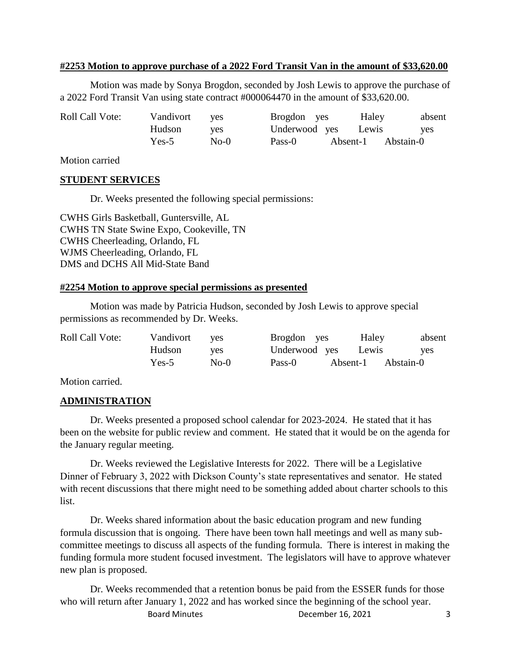## **#2253 Motion to approve purchase of a 2022 Ford Transit Van in the amount of \$33,620.00**

Motion was made by Sonya Brogdon, seconded by Josh Lewis to approve the purchase of a 2022 Ford Transit Van using state contract #000064470 in the amount of \$33,620.00.

| <b>Roll Call Vote:</b> | Vandivort | <b>ves</b> | Brogdon yes   | Haley    | absent     |
|------------------------|-----------|------------|---------------|----------|------------|
|                        | Hudson    | <b>ves</b> | Underwood yes | Lewis    | <b>ves</b> |
|                        | $Yes-5$   | $No-0$     | Pass-0        | Absent-1 | Abstain-0  |

Motion carried

#### **STUDENT SERVICES**

Dr. Weeks presented the following special permissions:

CWHS Girls Basketball, Guntersville, AL CWHS TN State Swine Expo, Cookeville, TN CWHS Cheerleading, Orlando, FL WJMS Cheerleading, Orlando, FL DMS and DCHS All Mid-State Band

#### **#2254 Motion to approve special permissions as presented**

Motion was made by Patricia Hudson, seconded by Josh Lewis to approve special permissions as recommended by Dr. Weeks.

| <b>Roll Call Vote:</b> | Vandivort | ves        | Brogdon yes   | Haley    | absent     |
|------------------------|-----------|------------|---------------|----------|------------|
|                        | Hudson    | <b>ves</b> | Underwood yes | Lewis    | <b>ves</b> |
|                        | $Yes-5$   | $No-0$     | Pass-0        | Absent-1 | Abstain-0  |

Motion carried.

## **ADMINISTRATION**

Dr. Weeks presented a proposed school calendar for 2023-2024. He stated that it has been on the website for public review and comment. He stated that it would be on the agenda for the January regular meeting.

Dr. Weeks reviewed the Legislative Interests for 2022. There will be a Legislative Dinner of February 3, 2022 with Dickson County's state representatives and senator. He stated with recent discussions that there might need to be something added about charter schools to this list.

Dr. Weeks shared information about the basic education program and new funding formula discussion that is ongoing. There have been town hall meetings and well as many subcommittee meetings to discuss all aspects of the funding formula. There is interest in making the funding formula more student focused investment. The legislators will have to approve whatever new plan is proposed.

Board Minutes **December 16, 2021** 3 Dr. Weeks recommended that a retention bonus be paid from the ESSER funds for those who will return after January 1, 2022 and has worked since the beginning of the school year.